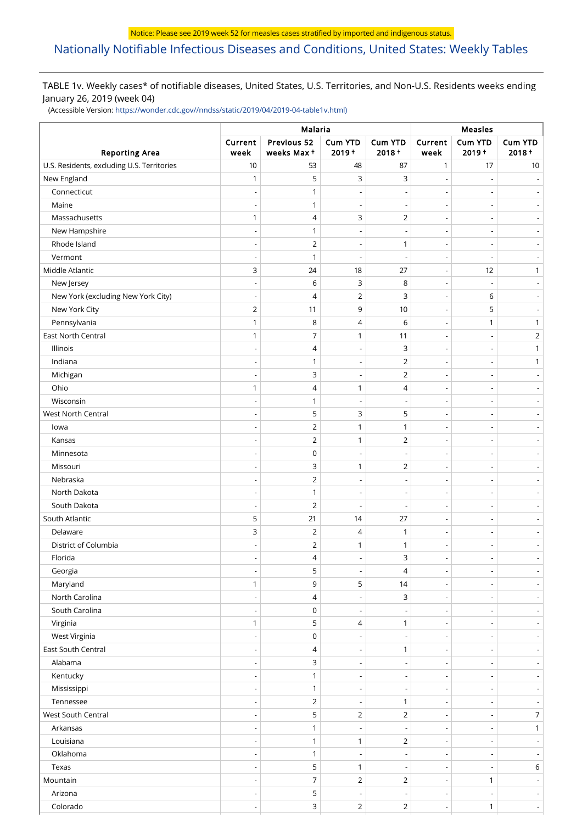# [Nationally Notifiable Infectious Diseases and Conditions, United States: Weekly Tables](https://wwwn.cdc.gov/nndss/)

## TABLE 1v. Weekly cases\* of notifiable diseases, United States, U.S. Territories, and Non-U.S. Residents weeks ending January 26, 2019 (week 04)

(Accessible Version: [https://wonder.cdc.gov//nndss/static/2019/04/2019-04-table1v.html\)](https://wonder.cdc.gov//nndss/static/2019/04/2019-04-table1v.html)

|                                            |                          | Malaria                   |                            | Measles                    |                          |                     |                              |
|--------------------------------------------|--------------------------|---------------------------|----------------------------|----------------------------|--------------------------|---------------------|------------------------------|
| <b>Reporting Area</b>                      | Current<br>week          | Previous 52<br>weeks Max+ | <b>Cum YTD</b><br>$2019 +$ | <b>Cum YTD</b><br>$2018 +$ | Current<br>week          | Cum YTD<br>$2019 +$ | Cum YTD<br>$2018 +$          |
| U.S. Residents, excluding U.S. Territories | 10                       | 53                        | 48                         | 87                         | 1                        | 17                  | $10$                         |
| New England                                | $\mathbf{1}$             | 5                         | 3                          | 3                          | $\overline{\phantom{a}}$ |                     |                              |
| Connecticut                                |                          | 1                         |                            | ÷,                         | $\overline{\phantom{0}}$ |                     | $\overline{\phantom{a}}$     |
| Maine                                      | $\overline{\phantom{a}}$ | 1                         | $\overline{\phantom{a}}$   | $\overline{\phantom{a}}$   | $\overline{\phantom{a}}$ |                     | $\overline{\phantom{m}}$     |
| Massachusetts                              | 1                        | 4                         | 3                          | $\overline{2}$             | $\overline{\phantom{a}}$ |                     | $\overline{\phantom{a}}$     |
| New Hampshire                              |                          | $\mathbf{1}$              |                            | $\overline{\phantom{a}}$   | $\overline{\phantom{a}}$ |                     |                              |
| Rhode Island                               | $\overline{\phantom{a}}$ | $\overline{2}$            |                            | $\mathbf{1}$               | $\overline{\phantom{a}}$ |                     | $\overline{\phantom{a}}$     |
| Vermont                                    | $\overline{\phantom{a}}$ | 1                         |                            | Ĭ.                         | $\overline{a}$           |                     |                              |
| Middle Atlantic                            | 3                        | 24                        | 18                         | 27                         | $\overline{\phantom{a}}$ | 12                  | $\mathbf{1}$                 |
| New Jersey                                 |                          | 6                         | 3                          | 8                          |                          |                     | $\overline{a}$               |
| New York (excluding New York City)         | $\overline{\phantom{a}}$ | 4                         | $\overline{2}$             | 3                          | $\overline{\phantom{a}}$ | 6                   | $\overline{\phantom{a}}$     |
| New York City                              | $\overline{2}$           | 11                        | 9                          | 10                         | $\overline{a}$           | 5                   |                              |
| Pennsylvania                               | 1                        | 8                         | 4                          | 6                          | $\overline{\phantom{a}}$ | 1                   | $\mathbf{1}$                 |
| East North Central                         | $\mathbf{1}$             | 7                         | 1                          | 11                         | $\overline{a}$           |                     | $\overline{2}$               |
| Illinois                                   | $\overline{\phantom{a}}$ | 4                         | ÷,                         | 3                          | $\overline{\phantom{a}}$ |                     | $\mathbf{1}$                 |
| Indiana                                    | $\overline{\phantom{a}}$ | 1                         | $\overline{\phantom{a}}$   | $\overline{2}$             | $\overline{a}$           |                     | $\mathbf{1}$                 |
| Michigan                                   | $\overline{\phantom{a}}$ | 3                         | $\overline{\phantom{a}}$   | $\overline{2}$             | $\overline{\phantom{a}}$ |                     | $\overline{\phantom{m}}$     |
| Ohio                                       | $\mathbf{1}$             | 4                         | 1                          | 4                          | $\overline{\phantom{a}}$ |                     | $\overline{\phantom{a}}$     |
| Wisconsin                                  |                          | 1                         |                            | $\overline{\phantom{a}}$   | $\overline{\phantom{a}}$ |                     | $\overline{\phantom{a}}$     |
| West North Central                         | $\overline{\phantom{a}}$ | 5                         | 3                          | 5                          | $\overline{\phantom{a}}$ |                     | $\overline{\phantom{a}}$     |
| lowa                                       |                          | $\overline{2}$            | 1                          | 1                          | $\overline{a}$           |                     |                              |
| Kansas                                     | $\overline{\phantom{a}}$ | $\overline{2}$            | 1                          | 2                          | $\overline{\phantom{a}}$ |                     | $\overline{\phantom{a}}$     |
| Minnesota                                  |                          | 0                         |                            | $\overline{a}$             | $\overline{a}$           |                     | $\overline{\phantom{a}}$     |
| Missouri                                   | $\overline{a}$           | 3                         | 1                          | 2                          | $\overline{\phantom{a}}$ |                     | $\overline{a}$               |
| Nebraska                                   |                          | 2                         |                            | $\overline{a}$             | $\overline{a}$           |                     |                              |
| North Dakota                               | $\overline{\phantom{a}}$ | 1                         | $\overline{\phantom{a}}$   | $\overline{\phantom{a}}$   | $\overline{\phantom{a}}$ |                     | $\overline{\phantom{a}}$     |
| South Dakota                               | $\overline{\phantom{a}}$ | $\overline{2}$            | $\overline{\phantom{a}}$   | $\overline{\phantom{a}}$   | $\overline{\phantom{a}}$ |                     | $\overline{\phantom{a}}$     |
| South Atlantic                             | 5                        | 21                        | 14                         | 27                         | $\overline{\phantom{a}}$ |                     | $\overline{\phantom{a}}$     |
| Delaware                                   | 3                        | $\overline{2}$            | 4                          | 1                          | $\overline{\phantom{a}}$ |                     | $\overline{\phantom{a}}$     |
| District of Columbia                       |                          | 2                         | 1                          | 1                          | $\overline{a}$           |                     |                              |
| Florida                                    |                          | 4                         |                            | 3                          |                          |                     |                              |
| Georgia                                    |                          | 5                         |                            | 4                          | $\overline{a}$           |                     |                              |
| Maryland                                   | $\mathbf{1}$             | 9                         | 5                          | 14                         | $\overline{\phantom{a}}$ |                     | $\overline{\phantom{a}}$     |
| North Carolina                             |                          | 4                         |                            | 3                          | $\overline{\phantom{a}}$ |                     | $\overline{\phantom{a}}$     |
| South Carolina                             | $\overline{\phantom{a}}$ | $\mathsf 0$               | $\overline{\phantom{a}}$   | $\overline{\phantom{a}}$   | $\overline{\phantom{a}}$ |                     | $\overline{\phantom{a}}$     |
| Virginia                                   | $\mathbf{1}$             | 5                         | 4                          | $\mathbf{1}$               | $\overline{a}$           |                     | $\overline{\phantom{a}}$     |
| West Virginia                              | $\overline{\phantom{a}}$ | $\mathsf 0$               | $\overline{\phantom{a}}$   | $\overline{\phantom{a}}$   | $\overline{\phantom{a}}$ |                     | $\overline{\phantom{a}}$     |
| East South Central                         | $\overline{\phantom{a}}$ | 4                         | $\overline{a}$             | $\mathbf{1}$               | $\overline{\phantom{a}}$ |                     | $\overline{\phantom{a}}$     |
| Alabama                                    | $\overline{\phantom{a}}$ | 3                         | $\overline{\phantom{a}}$   | $\overline{\phantom{a}}$   | $\overline{\phantom{a}}$ |                     | $\qquad \qquad \blacksquare$ |
| Kentucky                                   | $\overline{\phantom{a}}$ | $\mathbf{1}$              | $\overline{\phantom{a}}$   | $\overline{\phantom{a}}$   | $\overline{\phantom{a}}$ |                     | $\overline{\phantom{a}}$     |
| Mississippi                                |                          | 1                         |                            | $\overline{\phantom{a}}$   | $\overline{\phantom{a}}$ |                     | $\overline{\phantom{a}}$     |
| Tennessee                                  | $\overline{\phantom{a}}$ | $\overline{2}$            |                            | $\mathbf{1}$               | $\overline{\phantom{a}}$ |                     | $\overline{\phantom{a}}$     |
| West South Central                         |                          | 5                         | $\overline{2}$             | 2                          | $\overline{\phantom{a}}$ |                     | $\overline{7}$               |
| Arkansas                                   | $\overline{\phantom{a}}$ | $\mathbf{1}$              | $\overline{\phantom{a}}$   | $\overline{\phantom{a}}$   | $\overline{\phantom{a}}$ |                     | $\mathbf{1}$                 |
| Louisiana                                  |                          | $\mathbf{1}$              | 1                          | $\overline{2}$             | $\overline{a}$           |                     | $\overline{\phantom{a}}$     |
| Oklahoma                                   | $\overline{\phantom{a}}$ | $\mathbf{1}$              |                            | $\overline{\phantom{a}}$   | $\overline{\phantom{a}}$ |                     | $\overline{\phantom{a}}$     |
| Texas                                      | $\overline{a}$           | 5                         | 1                          | $\overline{\phantom{a}}$   | $\overline{a}$           |                     | 6                            |
| Mountain                                   | $\overline{\phantom{a}}$ | $\overline{7}$            | $\overline{2}$             | $\overline{2}$             | $\overline{\phantom{a}}$ | 1                   | $\overline{\phantom{a}}$     |
| Arizona                                    | $\overline{\phantom{a}}$ | 5                         |                            | $\overline{a}$             | $\overline{a}$           |                     | $\overline{\phantom{a}}$     |
| Colorado                                   | $\overline{a}$           | 3                         | $\overline{2}$             | $\overline{2}$             | $\overline{a}$           | $\mathbf{1}$        | $\mathcal{L}_{\mathcal{A}}$  |